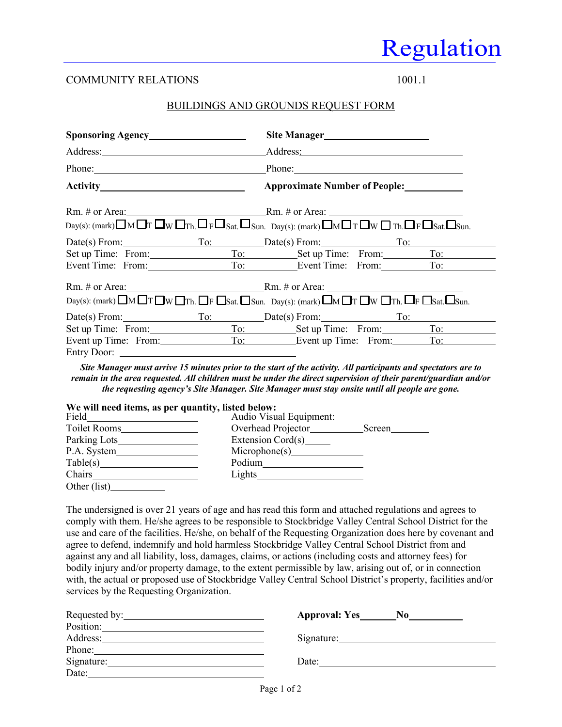# Regulation

## COMMUNITY RELATIONS 1001.1

## BUILDINGS AND GROUNDS REQUEST FORM

|                                                                                                                                                                                                                                     | Address:                                                                                                                                                                                                                       |  |  |
|-------------------------------------------------------------------------------------------------------------------------------------------------------------------------------------------------------------------------------------|--------------------------------------------------------------------------------------------------------------------------------------------------------------------------------------------------------------------------------|--|--|
|                                                                                                                                                                                                                                     | Phone: Phone: Phone: Phone: Phone: Phone: Phone: Phone: Phone: Phone: Phone: Phone: Phone: Phone: Phone: Phone: Phone: Phone: Phone: Phone: Phone: Phone: Phone: Phone: Phone: Phone: Phone: Phone: Phone: Phone: Phone: Phone |  |  |
|                                                                                                                                                                                                                                     | <b>Approximate Number of People:</b>                                                                                                                                                                                           |  |  |
|                                                                                                                                                                                                                                     |                                                                                                                                                                                                                                |  |  |
| $_{\text{Day}(s)}$ : (mark) $\Box$ M $\Box$ T $\Box$ W $\Box$ T $_{\text{Th}}$ , $\Box$ F $\Box$ Sat, $\Box$ Sun, $_{\text{Day}(s)}$ : (mark) $\Box$ M $\Box$ T $\Box$ W $\Box$ T $_{\text{Th}}$ , $\Box$ F $\Box$ Sat, $\Box$ Sun, |                                                                                                                                                                                                                                |  |  |
|                                                                                                                                                                                                                                     | Date(s) From: To: Date(s) From: To: To:                                                                                                                                                                                        |  |  |
|                                                                                                                                                                                                                                     | Set up Time: From: To: Set up Time: From: To:                                                                                                                                                                                  |  |  |
|                                                                                                                                                                                                                                     | Event Time: From: To: To: Event Time: From: To:                                                                                                                                                                                |  |  |
|                                                                                                                                                                                                                                     |                                                                                                                                                                                                                                |  |  |
| $Day(s): (mark) \Box M \Box T \Box W \Box Th. \Box F \Box Sat. \Box Sun. \ Day(s): (mark) \Box M \Box T \Box W \Box Th. \Box F \Box Sat. \Box Sun.$                                                                                 |                                                                                                                                                                                                                                |  |  |
|                                                                                                                                                                                                                                     | Date(s) From: To: Date(s) From: To: Date(s) From: To:                                                                                                                                                                          |  |  |
|                                                                                                                                                                                                                                     | Set up Time: From: To: Set up Time: From: To:                                                                                                                                                                                  |  |  |
|                                                                                                                                                                                                                                     | Event up Time: From: To: Event up Time: From: To:                                                                                                                                                                              |  |  |
| Entry Door:                                                                                                                                                                                                                         |                                                                                                                                                                                                                                |  |  |
|                                                                                                                                                                                                                                     |                                                                                                                                                                                                                                |  |  |

*Site Manager must arrive 15 minutes prior to the start of the activity. All participants and spectators are to remain in the area requested. All children must be under the direct supervision of their parent/guardian and/or the requesting agency's Site Manager. Site Manager must stay onsite until all people are gone.*

| We will need items, as per quantity, listed below: |                         |        |
|----------------------------------------------------|-------------------------|--------|
| Field                                              | Audio Visual Equipment: |        |
| <b>Toilet Rooms</b>                                | Overhead Projector      | Screen |
| Parking Lots                                       | Extension Cord(s)       |        |
| P.A. System                                        | Microphone(s)           |        |
| Table(s)                                           | Podium                  |        |
| Chairs                                             | Lights                  |        |
| Other (list)                                       |                         |        |

The undersigned is over 21 years of age and has read this form and attached regulations and agrees to comply with them. He/she agrees to be responsible to Stockbridge Valley Central School District for the use and care of the facilities. He/she, on behalf of the Requesting Organization does here by covenant and agree to defend, indemnify and hold harmless Stockbridge Valley Central School District from and against any and all liability, loss, damages, claims, or actions (including costs and attorney fees) for bodily injury and/or property damage, to the extent permissible by law, arising out of, or in connection with, the actual or proposed use of Stockbridge Valley Central School District's property, facilities and/or services by the Requesting Organization.

|            | $N_{0}$<br><b>Approval: Yes</b> |
|------------|---------------------------------|
| Position:  |                                 |
| Address:   | Signature:                      |
| Phone:     |                                 |
| Signature: | Date:                           |
| Date:      |                                 |